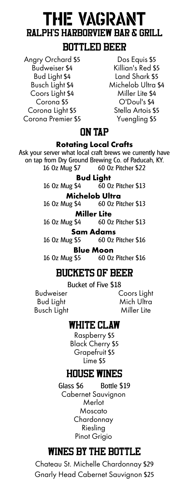# THE VAGRANT **Ralph's Harborview Bar & Grill BOTTLED BEER**

Angry Orchard \$5 Budweiser \$4 Bud Light \$4 Busch Light \$4 Coors Light \$4 Corona \$5 Corona Light \$5 Corona Premier \$5

Dos Equis \$5 Killian's Red \$5 Land Shark \$5 Michelob Ultra \$4 Miller Lite \$4 O'Doul's \$4 Stella Artois \$5 Yuengling \$5

## **ON TAP**

#### **Rotating Local Crafts**

Ask your server what local craft brews we currently have on tap from Dry Ground Brewing Co. of Paducah, KY. 16 Oz Mug \$7 60 Oz Pitcher \$22

#### **Bud Light**

16 Oz Mug \$4 60 Oz Pitcher \$13

### **Michelob Ultra**

16 Oz Mug \$4 60 Oz Pitcher \$13

**Miller Lite** 

16 Oz Mug \$4 60 Oz Pitcher \$13

**Sam Adams**<br>16 Oz Mug \$5 60 Oz

60 Oz Pitcher \$16

**Blue Moon**<br>16 0z Mug \$5 60 0z 60 Oz Pitcher \$16

## **BUCKETS OF BEER**

Bucket of Five \$18

Budweiser Bud Light Busch Light Coors Light Mich Ultra Miller Lite

## **WHITE CLAW**

Raspberry \$5 Black Cherry \$5 Grapefruit \$5 Lime \$5

## **HOUSE WINES**

Glass \$6 Bottle \$19 Cabernet Sauvignon Merlot Moscato Chardonnay Riesling Pinot Grigio

# **WINES BY THE BOTTLE**

Chateau St. Michelle Chardonnay \$29 Gnarly Head Cabernet Sauvignon \$25